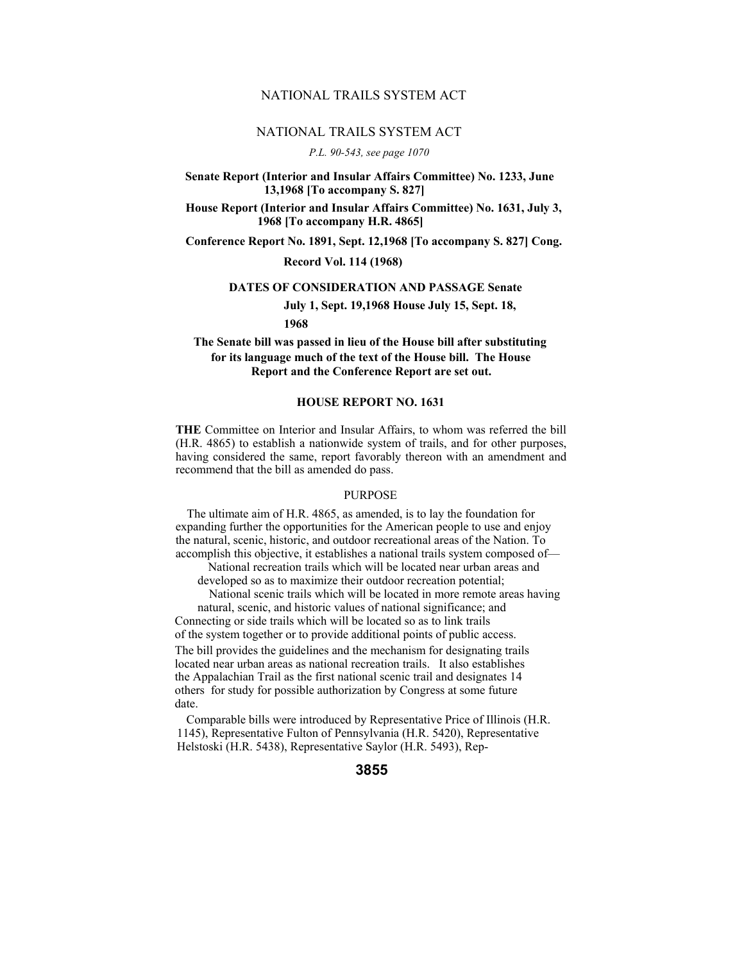### NATIONAL TRAILS SYSTEM ACT

*P.L. 90-543, see page 1070*

**Senate Report (Interior and Insular Affairs Committee) No. 1233, June 13,1968 [To accompany S. 827]**

**House Report (Interior and Insular Affairs Committee) No. 1631, July 3, 1968 [To accompany H.R. 4865]**

**Conference Report No. 1891, Sept. 12,1968 [To accompany S. 827] Cong.** 

**Record Vol. 114 (1968)**

## **DATES OF CONSIDERATION AND PASSAGE Senate**

**July 1, Sept. 19,1968 House July 15, Sept. 18,** 

**1968**

# **The Senate bill was passed in lieu of the House bill after substituting for its language much of the text of the House bill. The House Report and the Conference Report are set out.**

# **HOUSE REPORT NO. 1631**

**THE** Committee on Interior and Insular Affairs, to whom was referred the bill (H.R. 4865) to establish a nationwide system of trails, and for other purposes, having considered the same, report favorably thereon with an amendment and recommend that the bill as amended do pass.

## PURPOSE

The ultimate aim of H.R. 4865, as amended, is to lay the foundation for expanding further the opportunities for the American people to use and enjoy the natural, scenic, historic, and outdoor recreational areas of the Nation. To accomplish this objective, it establishes a national trails system composed of—

National recreation trails which will be located near urban areas and developed so as to maximize their outdoor recreation potential;

National scenic trails which will be located in more remote areas having natural, scenic, and historic values of national significance; and

Connecting or side trails which will be located so as to link trails of the system together or to provide additional points of public access. The bill provides the guidelines and the mechanism for designating trails located near urban areas as national recreation trails. It also establishes the Appalachian Trail as the first national scenic trail and designates 14 others for study for possible authorization by Congress at some future date.

Comparable bills were introduced by Representative Price of Illinois (H.R. 1145), Representative Fulton of Pennsylvania (H.R. 5420), Representative Helstoski (H.R. 5438), Representative Saylor (H.R. 5493), Rep-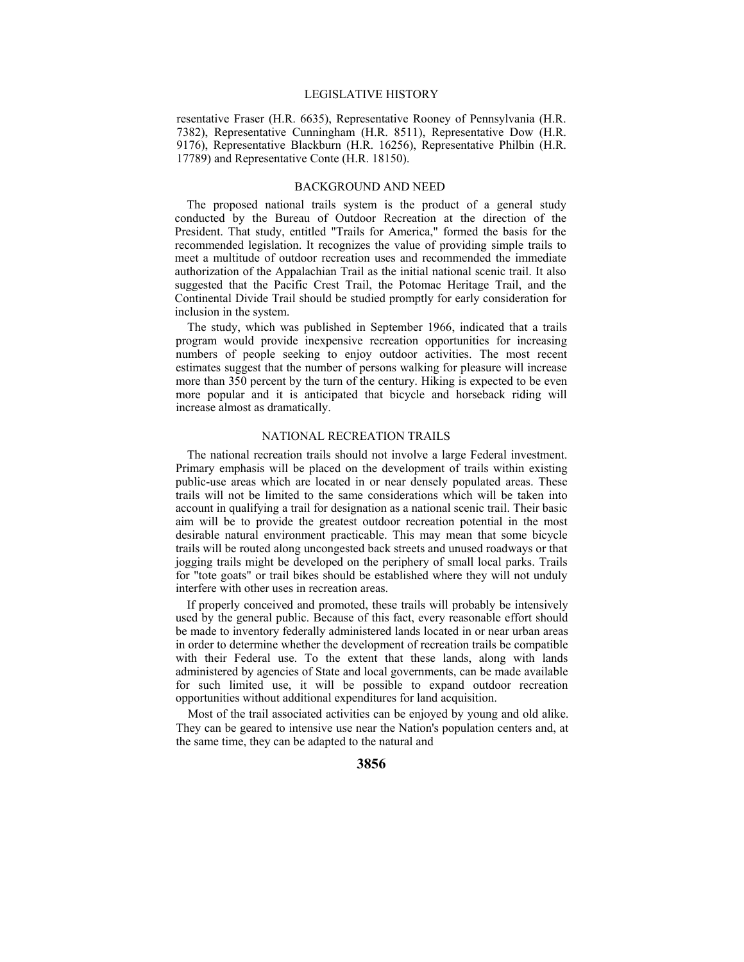resentative Fraser (H.R. 6635), Representative Rooney of Pennsylvania (H.R. 7382), Representative Cunningham (H.R. 8511), Representative Dow (H.R. 9176), Representative Blackburn (H.R. 16256), Representative Philbin (H.R. 17789) and Representative Conte (H.R. 18150).

#### BACKGROUND AND NEED

The proposed national trails system is the product of a general study conducted by the Bureau of Outdoor Recreation at the direction of the President. That study, entitled "Trails for America," formed the basis for the recommended legislation. It recognizes the value of providing simple trails to meet a multitude of outdoor recreation uses and recommended the immediate authorization of the Appalachian Trail as the initial national scenic trail. It also suggested that the Pacific Crest Trail, the Potomac Heritage Trail, and the Continental Divide Trail should be studied promptly for early consideration for inclusion in the system.

The study, which was published in September 1966, indicated that a trails program would provide inexpensive recreation opportunities for increasing numbers of people seeking to enjoy outdoor activities. The most recent estimates suggest that the number of persons walking for pleasure will increase more than 350 percent by the turn of the century. Hiking is expected to be even more popular and it is anticipated that bicycle and horseback riding will increase almost as dramatically.

### NATIONAL RECREATION TRAILS

The national recreation trails should not involve a large Federal investment. Primary emphasis will be placed on the development of trails within existing public-use areas which are located in or near densely populated areas. These trails will not be limited to the same considerations which will be taken into account in qualifying a trail for designation as a national scenic trail. Their basic aim will be to provide the greatest outdoor recreation potential in the most desirable natural environment practicable. This may mean that some bicycle trails will be routed along uncongested back streets and unused roadways or that jogging trails might be developed on the periphery of small local parks. Trails for "tote goats" or trail bikes should be established where they will not unduly interfere with other uses in recreation areas.

If properly conceived and promoted, these trails will probably be intensively used by the general public. Because of this fact, every reasonable effort should be made to inventory federally administered lands located in or near urban areas in order to determine whether the development of recreation trails be compatible with their Federal use. To the extent that these lands, along with lands administered by agencies of State and local governments, can be made available for such limited use, it will be possible to expand outdoor recreation opportunities without additional expenditures for land acquisition.

Most of the trail associated activities can be enjoyed by young and old alike. They can be geared to intensive use near the Nation's population centers and, at the same time, they can be adapted to the natural and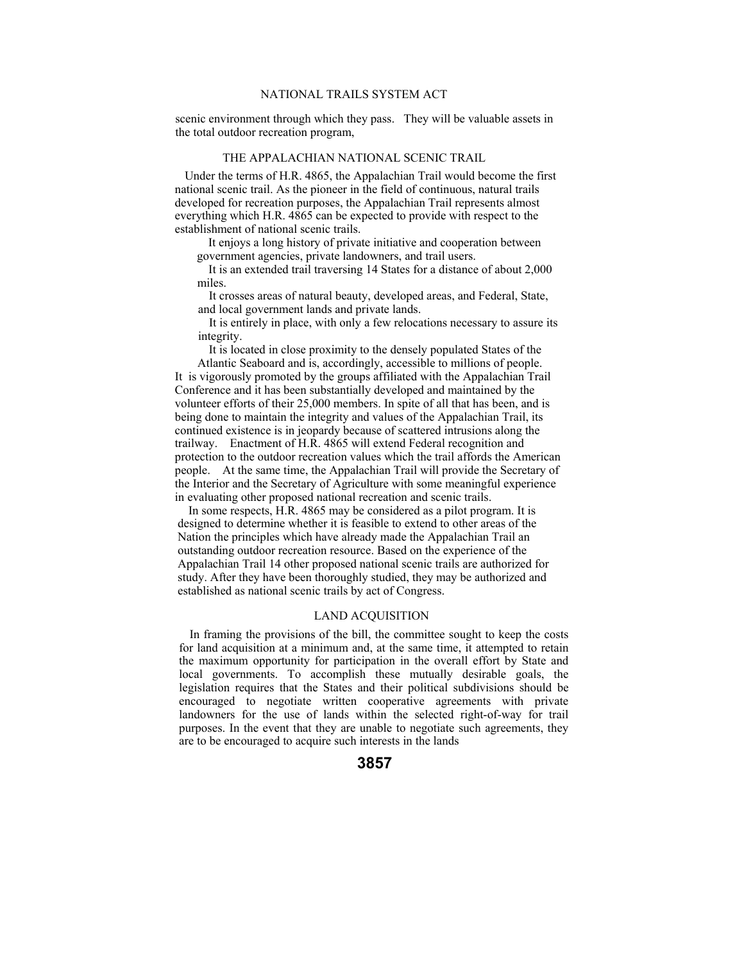scenic environment through which they pass. They will be valuable assets in the total outdoor recreation program,

## THE APPALACHIAN NATIONAL SCENIC TRAIL

Under the terms of H.R. 4865, the Appalachian Trail would become the first national scenic trail. As the pioneer in the field of continuous, natural trails developed for recreation purposes, the Appalachian Trail represents almost everything which H.R. 4865 can be expected to provide with respect to the establishment of national scenic trails.

It enjoys a long history of private initiative and cooperation between government agencies, private landowners, and trail users.

It is an extended trail traversing 14 States for a distance of about 2,000 miles.

It crosses areas of natural beauty, developed areas, and Federal, State, and local government lands and private lands.

It is entirely in place, with only a few relocations necessary to assure its integrity.

It is located in close proximity to the densely populated States of the Atlantic Seaboard and is, accordingly, accessible to millions of people.

It is vigorously promoted by the groups affiliated with the Appalachian Trail Conference and it has been substantially developed and maintained by the volunteer efforts of their 25,000 members. In spite of all that has been, and is being done to maintain the integrity and values of the Appalachian Trail, its continued existence is in jeopardy because of scattered intrusions along the trailway. Enactment of H.R. 4865 will extend Federal recognition and protection to the outdoor recreation values which the trail affords the American people. At the same time, the Appalachian Trail will provide the Secretary of the Interior and the Secretary of Agriculture with some meaningful experience in evaluating other proposed national recreation and scenic trails.

In some respects, H.R. 4865 may be considered as a pilot program. It is designed to determine whether it is feasible to extend to other areas of the Nation the principles which have already made the Appalachian Trail an outstanding outdoor recreation resource. Based on the experience of the Appalachian Trail 14 other proposed national scenic trails are authorized for study. After they have been thoroughly studied, they may be authorized and established as national scenic trails by act of Congress.

# LAND ACQUISITION

In framing the provisions of the bill, the committee sought to keep the costs for land acquisition at a minimum and, at the same time, it attempted to retain the maximum opportunity for participation in the overall effort by State and local governments. To accomplish these mutually desirable goals, the legislation requires that the States and their political subdivisions should be encouraged to negotiate written cooperative agreements with private landowners for the use of lands within the selected right-of-way for trail purposes. In the event that they are unable to negotiate such agreements, they are to be encouraged to acquire such interests in the lands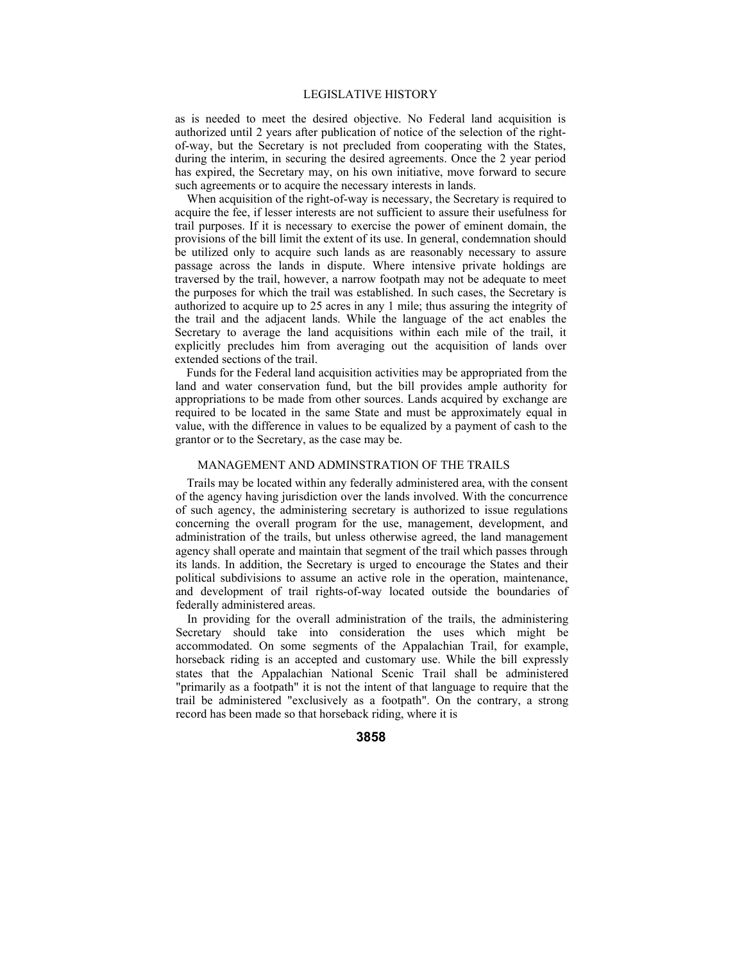as is needed to meet the desired objective. No Federal land acquisition is authorized until 2 years after publication of notice of the selection of the rightof-way, but the Secretary is not precluded from cooperating with the States, during the interim, in securing the desired agreements. Once the 2 year period has expired, the Secretary may, on his own initiative, move forward to secure such agreements or to acquire the necessary interests in lands.

When acquisition of the right-of-way is necessary, the Secretary is required to acquire the fee, if lesser interests are not sufficient to assure their usefulness for trail purposes. If it is necessary to exercise the power of eminent domain, the provisions of the bill limit the extent of its use. In general, condemnation should be utilized only to acquire such lands as are reasonably necessary to assure passage across the lands in dispute. Where intensive private holdings are traversed by the trail, however, a narrow footpath may not be adequate to meet the purposes for which the trail was established. In such cases, the Secretary is authorized to acquire up to 25 acres in any 1 mile; thus assuring the integrity of the trail and the adjacent lands. While the language of the act enables the Secretary to average the land acquisitions within each mile of the trail, it explicitly precludes him from averaging out the acquisition of lands over extended sections of the trail.

Funds for the Federal land acquisition activities may be appropriated from the land and water conservation fund, but the bill provides ample authority for appropriations to be made from other sources. Lands acquired by exchange are required to be located in the same State and must be approximately equal in value, with the difference in values to be equalized by a payment of cash to the grantor or to the Secretary, as the case may be.

### MANAGEMENT AND ADMINSTRATION OF THE TRAILS

Trails may be located within any federally administered area, with the consent of the agency having jurisdiction over the lands involved. With the concurrence of such agency, the administering secretary is authorized to issue regulations concerning the overall program for the use, management, development, and administration of the trails, but unless otherwise agreed, the land management agency shall operate and maintain that segment of the trail which passes through its lands. In addition, the Secretary is urged to encourage the States and their political subdivisions to assume an active role in the operation, maintenance, and development of trail rights-of-way located outside the boundaries of federally administered areas.

In providing for the overall administration of the trails, the administering Secretary should take into consideration the uses which might be accommodated. On some segments of the Appalachian Trail, for example, horseback riding is an accepted and customary use. While the bill expressly states that the Appalachian National Scenic Trail shall be administered "primarily as a footpath" it is not the intent of that language to require that the trail be administered "exclusively as a footpath". On the contrary, a strong record has been made so that horseback riding, where it is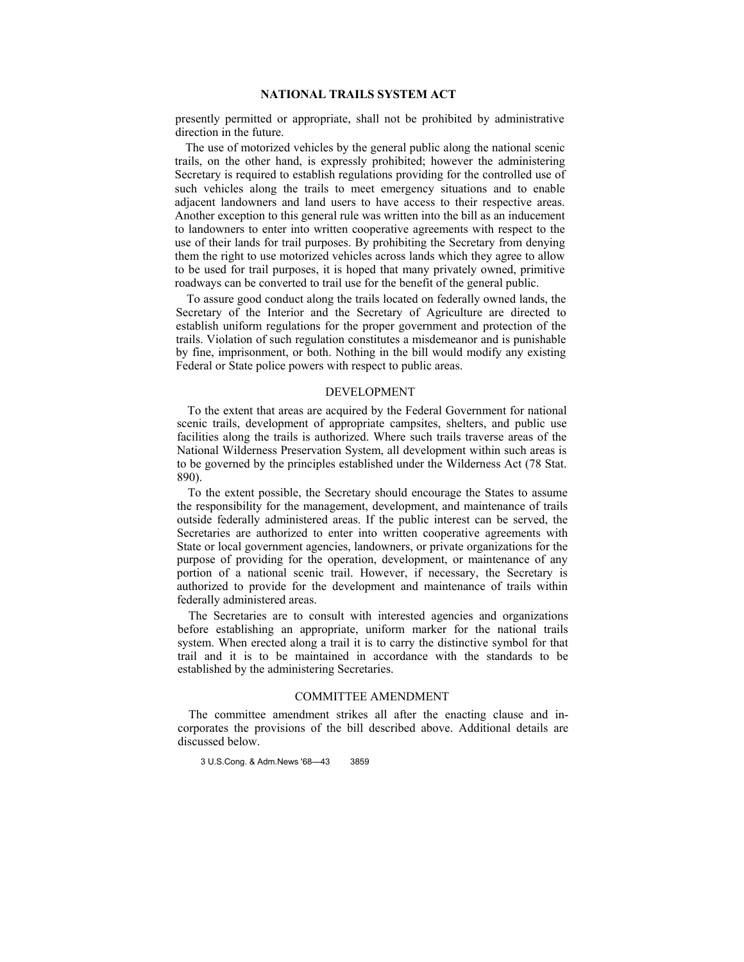presently permitted or appropriate, shall not be prohibited by administrative direction in the future.

The use of motorized vehicles by the general public along the national scenic trails, on the other hand, is expressly prohibited; however the administering Secretary is required to establish regulations providing for the controlled use of such vehicles along the trails to meet emergency situations and to enable adjacent landowners and land users to have access to their respective areas. Another exception to this general rule was written into the bill as an inducement to landowners to enter into written cooperative agreements with respect to the use of their lands for trail purposes. By prohibiting the Secretary from denying them the right to use motorized vehicles across lands which they agree to allow to be used for trail purposes, it is hoped that many privately owned, primitive roadways can be converted to trail use for the benefit of the general public.

To assure good conduct along the trails located on federally owned lands, the Secretary of the Interior and the Secretary of Agriculture are directed to establish uniform regulations for the proper government and protection of the trails. Violation of such regulation constitutes a misdemeanor and is punishable by fine, imprisonment, or both. Nothing in the bill would modify any existing Federal or State police powers with respect to public areas.

#### DEVELOPMENT

To the extent that areas are acquired by the Federal Government for national scenic trails, development of appropriate campsites, shelters, and public use facilities along the trails is authorized. Where such trails traverse areas of the National Wilderness Preservation System, all development within such areas is to be governed by the principles established under the Wilderness Act (78 Stat. 890).

To the extent possible, the Secretary should encourage the States to assume the responsibility for the management, development, and maintenance of trails outside federally administered areas. If the public interest can be served, the Secretaries are authorized to enter into written cooperative agreements with State or local government agencies, landowners, or private organizations for the purpose of providing for the operation, development, or maintenance of any portion of a national scenic trail. However, if necessary, the Secretary is authorized to provide for the development and maintenance of trails within federally administered areas.

The Secretaries are to consult with interested agencies and organizations before establishing an appropriate, uniform marker for the national trails system. When erected along a trail it is to carry the distinctive symbol for that trail and it is to be maintained in accordance with the standards to be established by the administering Secretaries.

### COMMITTEE AMENDMENT

The committee amendment strikes all after the enacting clause and incorporates the provisions of the bill described above. Additional details are discussed below.

3 U.S.Cong. & Adm.News '68—43 3859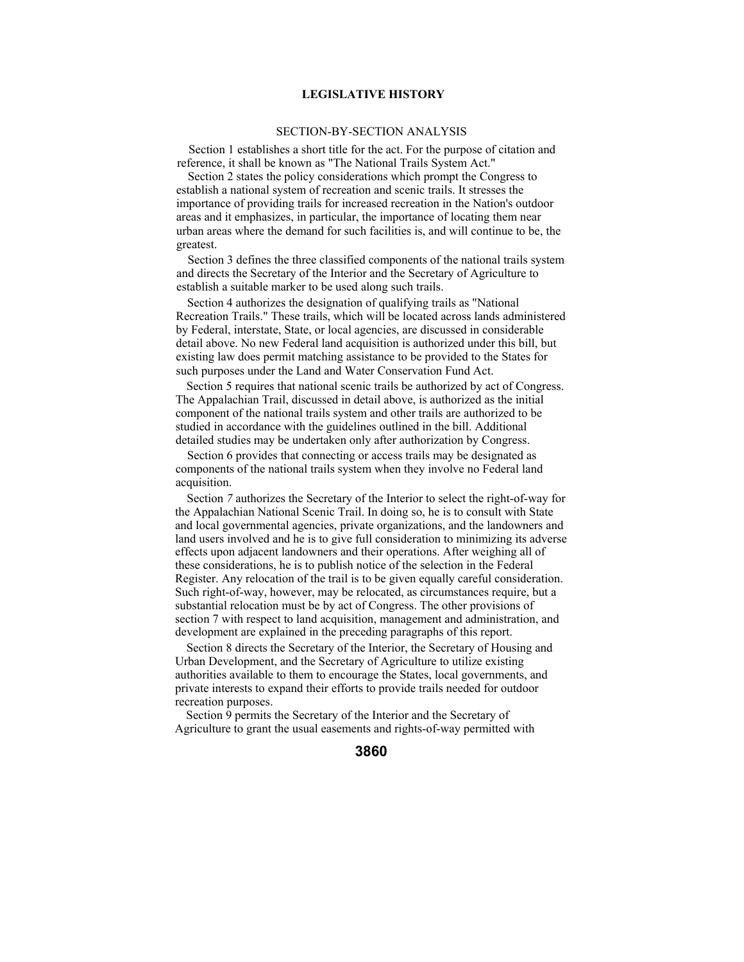### SECTION-BY-SECTION ANALYSIS

Section 1 establishes a short title for the act. For the purpose of citation and reference, it shall be known as "The National Trails System Act."

Section 2 states the policy considerations which prompt the Congress to establish a national system of recreation and scenic trails. It stresses the importance of providing trails for increased recreation in the Nation's outdoor areas and it emphasizes, in particular, the importance of locating them near urban areas where the demand for such facilities is, and will continue to be, the greatest.

Section 3 defines the three classified components of the national trails system and directs the Secretary of the Interior and the Secretary of Agriculture to establish a suitable marker to be used along such trails.

Section 4 authorizes the designation of qualifying trails as "National Recreation Trails." These trails, which will be located across lands administered by Federal, interstate, State, or local agencies, are discussed in considerable detail above. No new Federal land acquisition is authorized under this bill, but existing law does permit matching assistance to be provided to the States for such purposes under the Land and Water Conservation Fund Act.

Section 5 requires that national scenic trails be authorized by act of Congress. The Appalachian Trail, discussed in detail above, is authorized as the initial component of the national trails system and other trails are authorized to be studied in accordance with the guidelines outlined in the bill. Additional detailed studies may be undertaken only after authorization by Congress.

Section 6 provides that connecting or access trails may be designated as components of the national trails system when they involve no Federal land acquisition.

Section *7* authorizes the Secretary of the Interior to select the right-of-way for the Appalachian National Scenic Trail. In doing so, he is to consult with State and local governmental agencies, private organizations, and the landowners and land users involved and he is to give full consideration to minimizing its adverse effects upon adjacent landowners and their operations. After weighing all of these considerations, he is to publish notice of the selection in the Federal Register. Any relocation of the trail is to be given equally careful consideration. Such right-of-way, however, may be relocated, as circumstances require, but a substantial relocation must be by act of Congress. The other provisions of section 7 with respect to land acquisition, management and administration, and development are explained in the preceding paragraphs of this report.

Section 8 directs the Secretary of the Interior, the Secretary of Housing and Urban Development, and the Secretary of Agriculture to utilize existing authorities available to them to encourage the States, local governments, and private interests to expand their efforts to provide trails needed for outdoor recreation purposes.

Section 9 permits the Secretary of the Interior and the Secretary of Agriculture to grant the usual easements and rights-of-way permitted with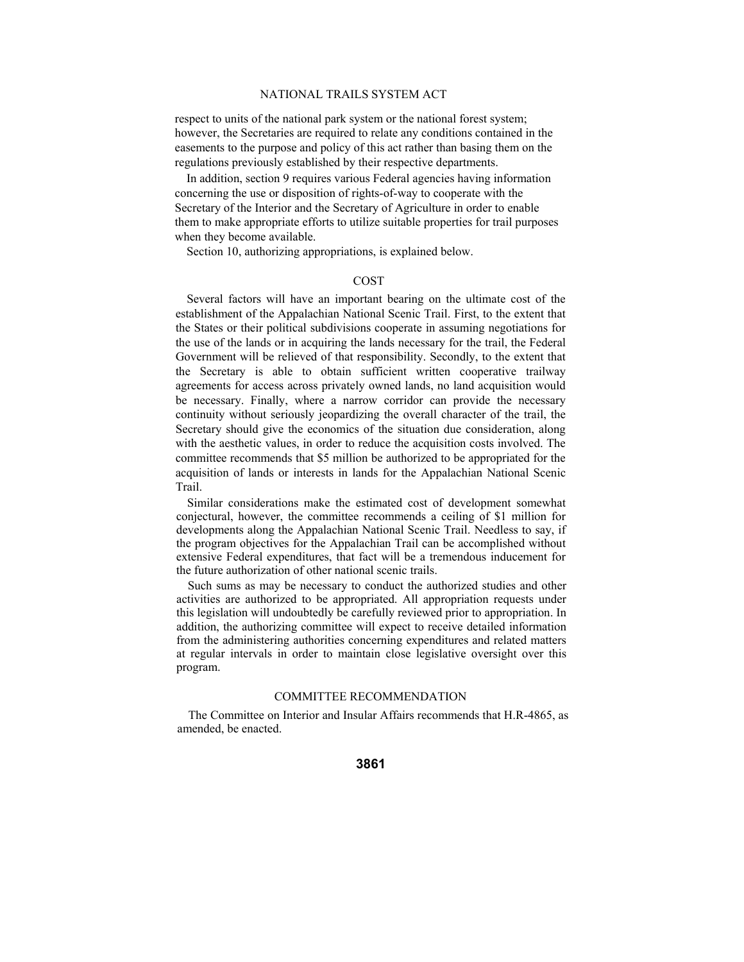respect to units of the national park system or the national forest system; however, the Secretaries are required to relate any conditions contained in the easements to the purpose and policy of this act rather than basing them on the regulations previously established by their respective departments.

In addition, section 9 requires various Federal agencies having information concerning the use or disposition of rights-of-way to cooperate with the Secretary of the Interior and the Secretary of Agriculture in order to enable them to make appropriate efforts to utilize suitable properties for trail purposes when they become available.

Section 10, authorizing appropriations, is explained below.

# COST

Several factors will have an important bearing on the ultimate cost of the establishment of the Appalachian National Scenic Trail. First, to the extent that the States or their political subdivisions cooperate in assuming negotiations for the use of the lands or in acquiring the lands necessary for the trail, the Federal Government will be relieved of that responsibility. Secondly, to the extent that the Secretary is able to obtain sufficient written cooperative trailway agreements for access across privately owned lands, no land acquisition would be necessary. Finally, where a narrow corridor can provide the necessary continuity without seriously jeopardizing the overall character of the trail, the Secretary should give the economics of the situation due consideration, along with the aesthetic values, in order to reduce the acquisition costs involved. The committee recommends that \$5 million be authorized to be appropriated for the acquisition of lands or interests in lands for the Appalachian National Scenic Trail.

Similar considerations make the estimated cost of development somewhat conjectural, however, the committee recommends a ceiling of \$1 million for developments along the Appalachian National Scenic Trail. Needless to say, if the program objectives for the Appalachian Trail can be accomplished without extensive Federal expenditures, that fact will be a tremendous inducement for the future authorization of other national scenic trails.

Such sums as may be necessary to conduct the authorized studies and other activities are authorized to be appropriated. All appropriation requests under this legislation will undoubtedly be carefully reviewed prior to appropriation. In addition, the authorizing committee will expect to receive detailed information from the administering authorities concerning expenditures and related matters at regular intervals in order to maintain close legislative oversight over this program.

## COMMITTEE RECOMMENDATION

The Committee on Interior and Insular Affairs recommends that H.R-4865, as amended, be enacted.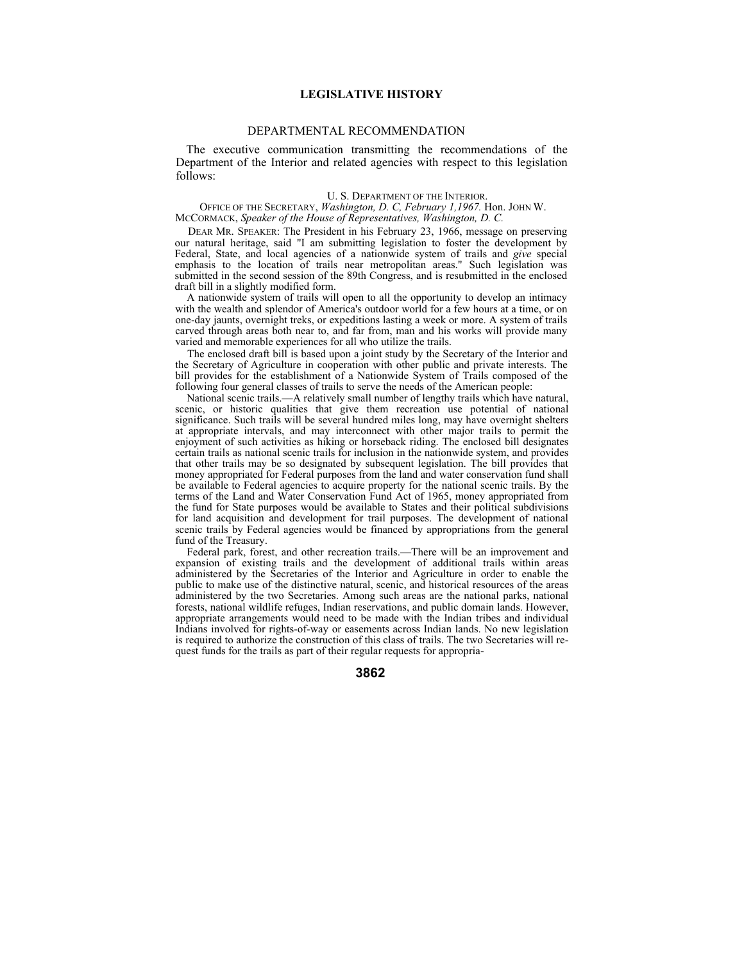#### DEPARTMENTAL RECOMMENDATION

The executive communication transmitting the recommendations of the Department of the Interior and related agencies with respect to this legislation follows:

#### U. S. DEPARTMENT OF THE INTERIOR.

OFFICE OF THE SECRETARY, *Washington, D. C, February 1,1967.* Hon. JOHN W. MCCORMACK, *Speaker of the House of Representatives, Washington, D. C.*

DEAR MR. SPEAKER: The President in his February 23, 1966, message on preserving our natural heritage, said "I am submitting legislation to foster the development by Federal, State, and local agencies of a nationwide system of trails and *give* special emphasis to the location of trails near metropolitan areas." Such legislation was submitted in the second session of the 89th Congress, and is resubmitted in the enclosed draft bill in a slightly modified form.

A nationwide system of trails will open to all the opportunity to develop an intimacy with the wealth and splendor of America's outdoor world for a few hours at a time, or on one-day jaunts, overnight treks, or expeditions lasting a week or more. A system of trails carved through areas both near to, and far from, man and his works will provide many varied and memorable experiences for all who utilize the trails.

The enclosed draft bill is based upon a joint study by the Secretary of the Interior and the Secretary of Agriculture in cooperation with other public and private interests. The bill provides for the establishment of a Nationwide System of Trails composed of the following four general classes of trails to serve the needs of the American people:

National scenic trails.—A relatively small number of lengthy trails which have natural, scenic, or historic qualities that give them recreation use potential of national significance. Such trails will be several hundred miles long, may have overnight shelters at appropriate intervals, and may interconnect with other major trails to permit the enjoyment of such activities as hiking or horseback riding. The enclosed bill designates certain trails as national scenic trails for inclusion in the nationwide system, and provides that other trails may be so designated by subsequent legislation. The bill provides that money appropriated for Federal purposes from the land and water conservation fund shall be available to Federal agencies to acquire property for the national scenic trails. By the terms of the Land and Water Conservation Fund Act of 1965, money appropriated from the fund for State purposes would be available to States and their political subdivisions for land acquisition and development for trail purposes. The development of national scenic trails by Federal agencies would be financed by appropriations from the general fund of the Treasury.

Federal park, forest, and other recreation trails.—There will be an improvement and expansion of existing trails and the development of additional trails within areas administered by the Secretaries of the Interior and Agriculture in order to enable the public to make use of the distinctive natural, scenic, and historical resources of the areas administered by the two Secretaries. Among such areas are the national parks, national forests, national wildlife refuges, Indian reservations, and public domain lands. However, appropriate arrangements would need to be made with the Indian tribes and individual Indians involved for rights-of-way or easements across Indian lands. No new legislation is required to authorize the construction of this class of trails. The two Secretaries will request funds for the trails as part of their regular requests for appropria-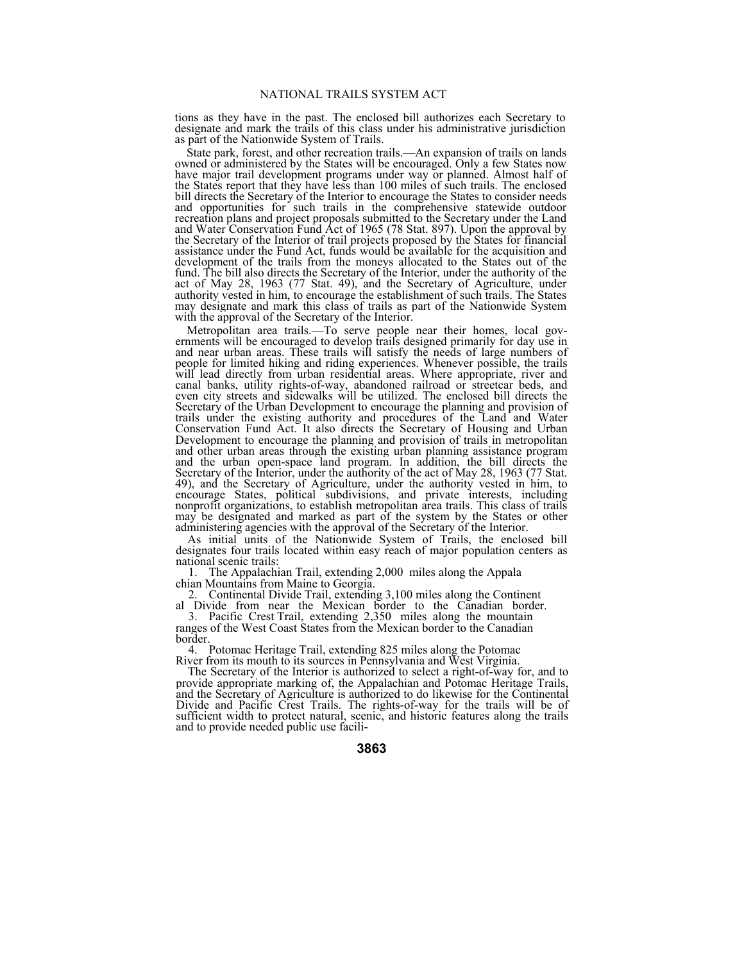tions as they have in the past. The enclosed bill authorizes each Secretary to designate and mark the trails of this class under his administrative jurisdiction as part of the Nationwide System of Trails.

State park, forest, and other recreation trails.—An expansion of trails on lands owned or administered by the States will be encouraged. Only a few States now have major trail development programs under way or planned. Almost half of the States report that they have less than 100 miles of such trails. The enclosed and opportunities for such trails in the comprehensive statewide outdoor recreation plans and project proposals submitted to the Secretary under the Land and Water Conservation Fund Act of 1965 (78 Stat. 897). Upon the approval by the Secretary of the Interior of trail projects proposed by the assistance under the Fund Act, funds would be available for the acquisition and development of the trails from the moneys allocated to the States out of the fund. The bill also directs the Secretary of the Interior, under the authority of the act of May 28, 1963 (77 Stat. 49), and the Secretary of Agriculture, under authority vested in him, to encourage the establishment of such trails. The States may designate and mark this class of trails as part of the Nationwide System with the approval of the Secretary of the Interior.

Metropolitan area trails.—To serve people near their homes, local governments will be encouraged to develop trails designed primarily for day use in and near urban areas. These trails will satisfy the needs of large number canal banks, utility rights-of-way, abandoned railroad or streetcar beds, and even city streets and sidewalks will be utilized. The enclosed bill directs the Secretary of the Urban Development to encourage the planning and provision of trails under the existing authority and procedures of the Land and Water Conservation Fund Act. It also directs the Secretary of Housing and Urban Development to encourage the planning and provision of trails in metropolitan and other urban areas through the existing urban planning assistance program and the urban open-space land program. In addition, the bill directs the Secretary of the Interior, under the authority of the act of May 28, 1963 (77 Stat. 49), and the Secretary of Agriculture, under the authority vested in him, to 49), and the Secretary of Agriculture, under the authority vested in him, to encourage States, political subdivisions, and private interests, including nonprofit organizations, to establish metropolitan area trails. This class of trails may be designated and marked as part of the system by the States or other administering agencies with the approval of the Secretary of the Interior.

As initial units of the Nationwide System of Trails, the enclosed bill designates four trails located within easy reach of major population centers as national scenic trails:

1. The Appalachian Trail, extending 2,000 miles along the Appala<br>chian Mountains from Maine to Georgia.<br>2. Continental Divide Trail, extending 3,100 miles along the Continent

2. Continental Divide Trail, extending 3,100 miles along the Continent al Divide from near the Mexican border to the Canadian border.

3. Pacific Crest Trail, extending 2,350 miles along the mountain ranges of the West Coast States from the Mexican border to the Canadian

border.<br>4. Potomac Heritage Trail, extending 825 miles along the Potomac

River from its mouth to its sources in Pennsylvania and West Virginia.<br>The Secretary of the Interior is authorized to select a right-of-way for, and to The Secretary of the Interior is authorized to select a right-of-way for, and to provide appropriate marking of, the Appalachian and Potomac Heritage Trails, and the Secretary of Agriculture is authorized to do likewise fo Divide and Pacific Crest Trails. The rights-of-way for the trails will be of sufficient width to protect natural, scenic, and historic features along the trails and to provide needed public use facili-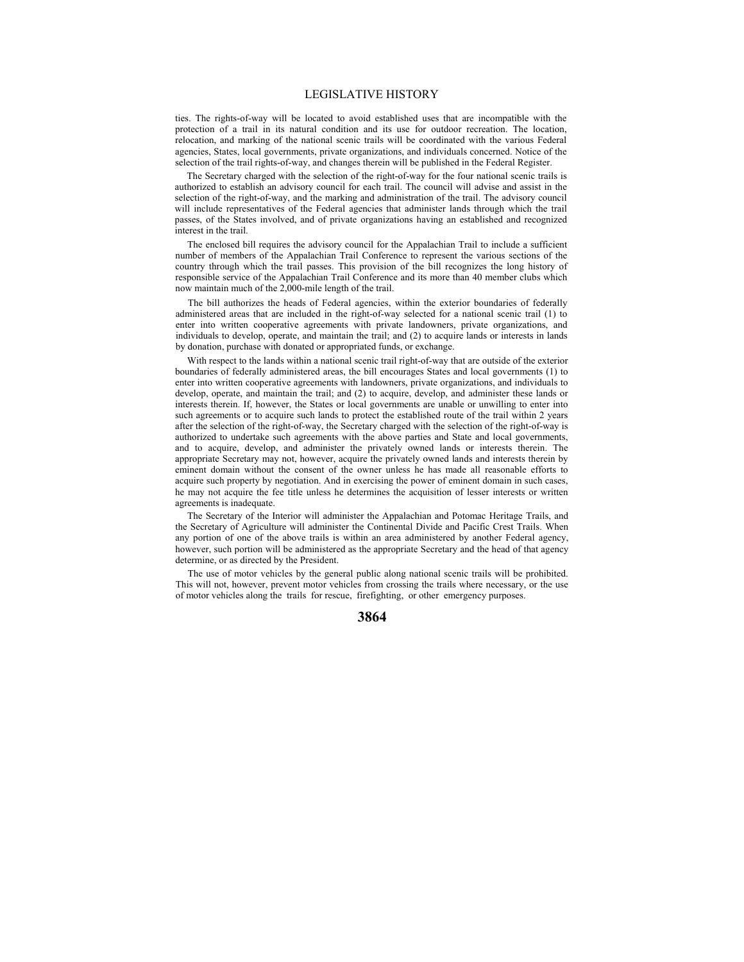ties. The rights-of-way will be located to avoid established uses that are incompatible with the protection of a trail in its natural condition and its use for outdoor recreation. The location, relocation, and marking of the national scenic trails will be coordinated with the various Federal agencies, States, local governments, private organizations, and individuals concerned. Notice of the selection of the trail rights-of-way, and changes therein will be published in the Federal Register.

The Secretary charged with the selection of the right-of-way for the four national scenic trails is authorized to establish an advisory council for each trail. The council will advise and assist in the selection of the right-of-way, and the marking and administration of the trail. The advisory council will include representatives of the Federal agencies that administer lands through which the trail passes, of the States involved, and of private organizations having an established and recognized interest in the trail.

The enclosed bill requires the advisory council for the Appalachian Trail to include a sufficient number of members of the Appalachian Trail Conference to represent the various sections of the country through which the trail passes. This provision of the bill recognizes the long history of responsible service of the Appalachian Trail Conference and its more than 40 member clubs which now maintain much of the 2,000-mile length of the trail.

The bill authorizes the heads of Federal agencies, within the exterior boundaries of federally administered areas that are included in the right-of-way selected for a national scenic trail (1) to enter into written cooperative agreements with private landowners, private organizations, and individuals to develop, operate, and maintain the trail; and (2) to acquire lands or interests in lands by donation, purchase with donated or appropriated funds, or exchange.

With respect to the lands within a national scenic trail right-of-way that are outside of the exterior boundaries of federally administered areas, the bill encourages States and local governments (1) to enter into written cooperative agreements with landowners, private organizations, and individuals to develop, operate, and maintain the trail; and (2) to acquire, develop, and administer these lands or interests therein. If, however, the States or local governments are unable or unwilling to enter into such agreements or to acquire such lands to protect the established route of the trail within 2 years after the selection of the right-of-way, the Secretary charged with the selection of the right-of-way is authorized to undertake such agreements with the above parties and State and local governments, and to acquire, develop, and administer the privately owned lands or interests therein. The appropriate Secretary may not, however, acquire the privately owned lands and interests therein by eminent domain without the consent of the owner unless he has made all reasonable efforts to acquire such property by negotiation. And in exercising the power of eminent domain in such cases, he may not acquire the fee title unless he determines the acquisition of lesser interests or written agreements is inadequate.

The Secretary of the Interior will administer the Appalachian and Potomac Heritage Trails, and the Secretary of Agriculture will administer the Continental Divide and Pacific Crest Trails. When any portion of one of the above trails is within an area administered by another Federal agency, however, such portion will be administered as the appropriate Secretary and the head of that agency determine, or as directed by the President.

The use of motor vehicles by the general public along national scenic trails will be prohibited. This will not, however, prevent motor vehicles from crossing the trails where necessary, or the use of motor vehicles along the trails for rescue, firefighting, or other emergency purposes.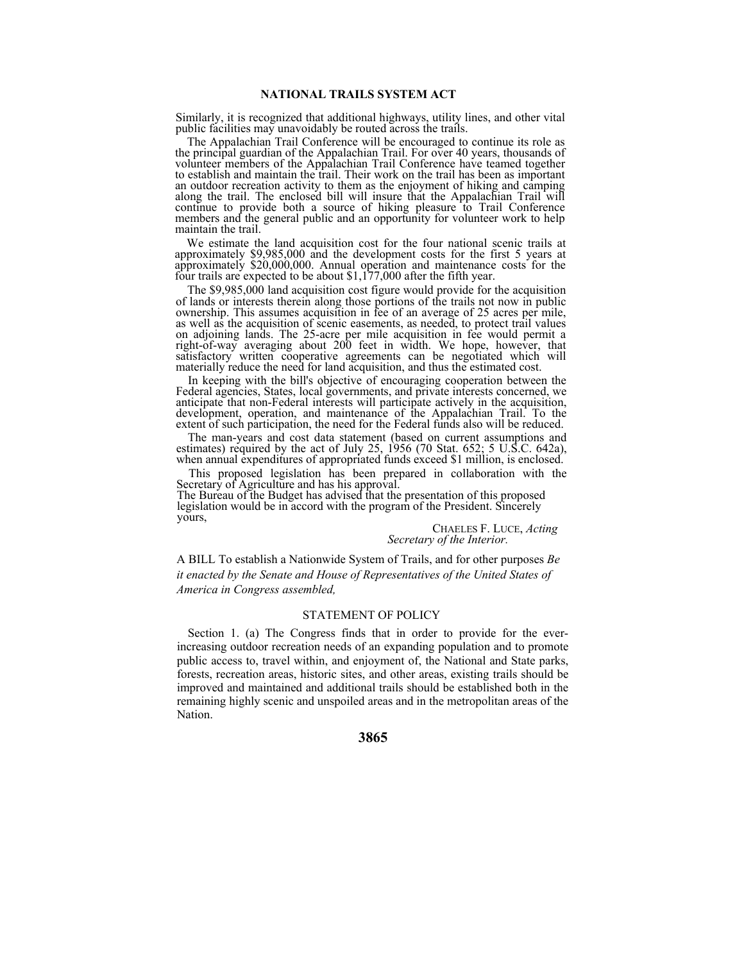Similarly, it is recognized that additional highways, utility lines, and other vital public facilities may unavoidably be routed across the trails.

The Appalachian Trail Conference will be encouraged to continue its role as the principal guardian of the Appalachian Trail. For over 40 years, thousands of volunteer members of the Appalachian Trail Conference have teamed an outdoor recreation activity to them as the enjoyment of hiking and camping along the trail. The enclosed bill will insure that the Appalachian Trail will continue to provide both a source of hiking pleasure to Trail Conference members and the general public and an opportunity for volunteer work to help maintain the trail.

We estimate the land acquisition cost for the four national scenic trails at approximately \$9,985,000 and the development costs for the first 5 years at approximately \$20,000,000. Annual operation and maintenance costs for the four trails are expected to be about \$1,177,000 after the fifth year.

The \$9,985,000 land acquisition cost figure would provide for the acquisition of lands or interests therein along those portions of the trails not now in public ownership. This assumes acquisition in fee of an average of 25 acres per mile, as well as the acquisition of scenic easements, as needed, to protect trail values on adjoining lands. The 25-acre per mile acquisition in fee would permit a right-of-way averaging about 200 feet in width. We hope, however, that satisfactory written cooperative agreements can be negotiated which will materially reduce the need for land acquisition, and thus the estimated cost.

In keeping with the bill's objective of encouraging cooperation between the Federal agencies, States, local governments, and private interests concerned, we anticipate that non-Federal interests will participate actively i development, operation, and maintenance of the Appalachian Trail. To the extent of such participation, the need for the Federal funds also will be reduced.

The man-years and cost data statement (based on current assumptions and estimates) required by the act of July 25, 1956 (70 Stat. 652; 5 U.S.C. 642a), when annual expenditures of appropriated funds exceed \$1 million, is enclosed.

This proposed legislation has been prepared in collaboration with the Secretary of Agriculture and has his approval.<br>The Bureau of the Budget has advised that the presentation of this proposed

legislation would be in accord with the program of the President. Sincerely yours,

CHAELES F. LUCE, *Acting Secretary of the Interior.*

A BILL To establish a Nationwide System of Trails, and for other purposes *Be it enacted by the Senate and House of Representatives of the United States of America in Congress assembled,*

### STATEMENT OF POLICY

Section 1. (a) The Congress finds that in order to provide for the everincreasing outdoor recreation needs of an expanding population and to promote public access to, travel within, and enjoyment of, the National and State parks, forests, recreation areas, historic sites, and other areas, existing trails should be improved and maintained and additional trails should be established both in the remaining highly scenic and unspoiled areas and in the metropolitan areas of the Nation.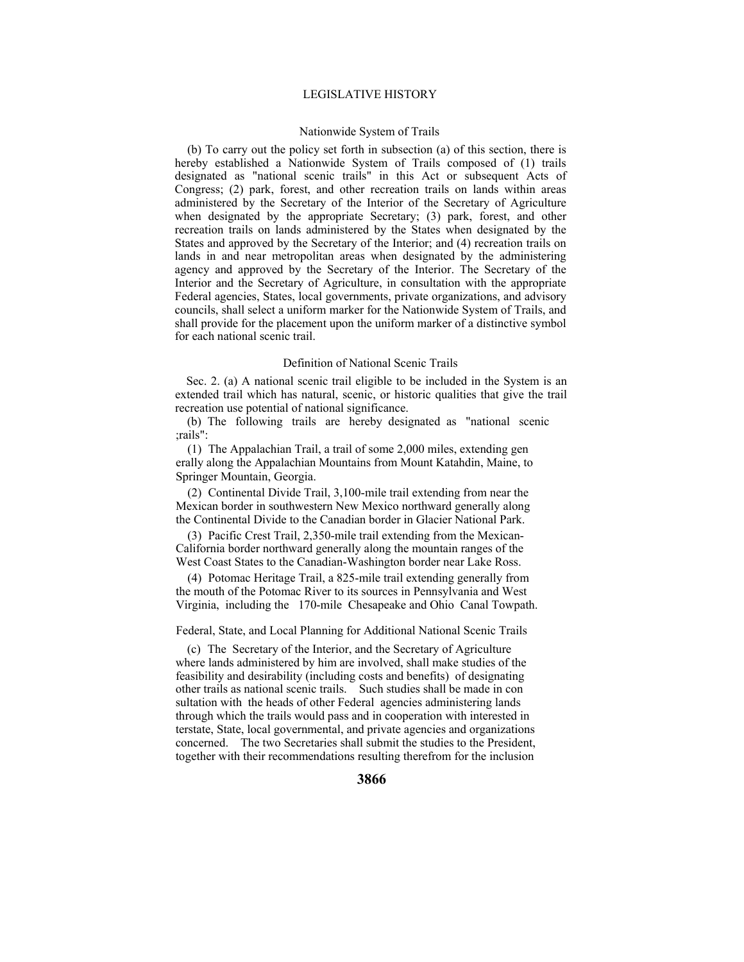### Nationwide System of Trails

(b) To carry out the policy set forth in subsection (a) of this section, there is hereby established a Nationwide System of Trails composed of (1) trails designated as "national scenic trails" in this Act or subsequent Acts of Congress; (2) park, forest, and other recreation trails on lands within areas administered by the Secretary of the Interior of the Secretary of Agriculture when designated by the appropriate Secretary; (3) park, forest, and other recreation trails on lands administered by the States when designated by the States and approved by the Secretary of the Interior; and (4) recreation trails on lands in and near metropolitan areas when designated by the administering agency and approved by the Secretary of the Interior. The Secretary of the Interior and the Secretary of Agriculture, in consultation with the appropriate Federal agencies, States, local governments, private organizations, and advisory councils, shall select a uniform marker for the Nationwide System of Trails, and shall provide for the placement upon the uniform marker of a distinctive symbol for each national scenic trail.

#### Definition of National Scenic Trails

Sec. 2. (a) A national scenic trail eligible to be included in the System is an extended trail which has natural, scenic, or historic qualities that give the trail recreation use potential of national significance.

(b) The following trails are hereby designated as "national scenic ;rails":

(1) The Appalachian Trail, a trail of some 2,000 miles, extending gen erally along the Appalachian Mountains from Mount Katahdin, Maine, to Springer Mountain, Georgia.

(2) Continental Divide Trail, 3,100-mile trail extending from near the Mexican border in southwestern New Mexico northward generally along the Continental Divide to the Canadian border in Glacier National Park.

(3) Pacific Crest Trail, 2,350-mile trail extending from the Mexican-California border northward generally along the mountain ranges of the West Coast States to the Canadian-Washington border near Lake Ross.

(4) Potomac Heritage Trail, a 825-mile trail extending generally from the mouth of the Potomac River to its sources in Pennsylvania and West Virginia, including the 170-mile Chesapeake and Ohio Canal Towpath.

Federal, State, and Local Planning for Additional National Scenic Trails

(c) The Secretary of the Interior, and the Secretary of Agriculture where lands administered by him are involved, shall make studies of the feasibility and desirability (including costs and benefits) of designating other trails as national scenic trails. Such studies shall be made in con sultation with the heads of other Federal agencies administering lands through which the trails would pass and in cooperation with interested in terstate, State, local governmental, and private agencies and organizations concerned. The two Secretaries shall submit the studies to the President, together with their recommendations resulting therefrom for the inclusion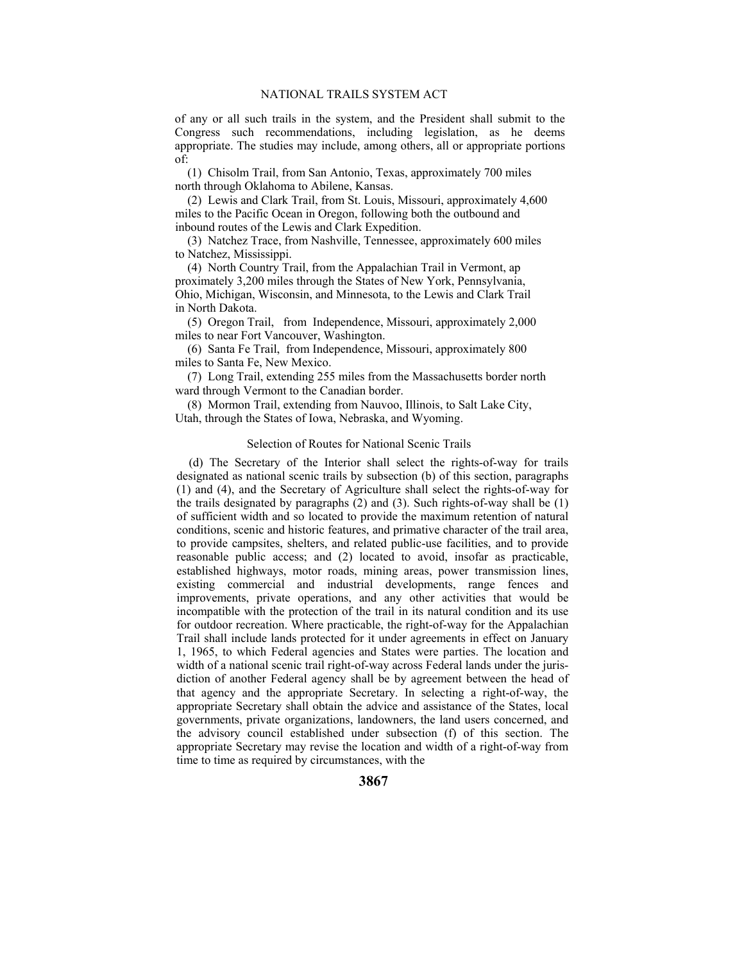of any or all such trails in the system, and the President shall submit to the Congress such recommendations, including legislation, as he deems appropriate. The studies may include, among others, all or appropriate portions of:

(1) Chisolm Trail, from San Antonio, Texas, approximately 700 miles north through Oklahoma to Abilene, Kansas.

(2) Lewis and Clark Trail, from St. Louis, Missouri, approximately 4,600 miles to the Pacific Ocean in Oregon, following both the outbound and inbound routes of the Lewis and Clark Expedition.

(3) Natchez Trace, from Nashville, Tennessee, approximately 600 miles to Natchez, Mississippi.

(4) North Country Trail, from the Appalachian Trail in Vermont, ap proximately 3,200 miles through the States of New York, Pennsylvania, Ohio, Michigan, Wisconsin, and Minnesota, to the Lewis and Clark Trail in North Dakota.

(5) Oregon Trail, from Independence, Missouri, approximately 2,000 miles to near Fort Vancouver, Washington.

(6) Santa Fe Trail, from Independence, Missouri, approximately 800 miles to Santa Fe, New Mexico.

(7) Long Trail, extending 255 miles from the Massachusetts border north ward through Vermont to the Canadian border.

(8) Mormon Trail, extending from Nauvoo, Illinois, to Salt Lake City, Utah, through the States of Iowa, Nebraska, and Wyoming.

### Selection of Routes for National Scenic Trails

(d) The Secretary of the Interior shall select the rights-of-way for trails designated as national scenic trails by subsection (b) of this section, paragraphs (1) and (4), and the Secretary of Agriculture shall select the rights-of-way for the trails designated by paragraphs  $(2)$  and  $(3)$ . Such rights-of-way shall be  $(1)$ of sufficient width and so located to provide the maximum retention of natural conditions, scenic and historic features, and primative character of the trail area, to provide campsites, shelters, and related public-use facilities, and to provide reasonable public access; and (2) located to avoid, insofar as practicable, established highways, motor roads, mining areas, power transmission lines, existing commercial and industrial developments, range fences and improvements, private operations, and any other activities that would be incompatible with the protection of the trail in its natural condition and its use for outdoor recreation. Where practicable, the right-of-way for the Appalachian Trail shall include lands protected for it under agreements in effect on January 1, 1965, to which Federal agencies and States were parties. The location and width of a national scenic trail right-of-way across Federal lands under the jurisdiction of another Federal agency shall be by agreement between the head of that agency and the appropriate Secretary. In selecting a right-of-way, the appropriate Secretary shall obtain the advice and assistance of the States, local governments, private organizations, landowners, the land users concerned, and the advisory council established under subsection (f) of this section. The appropriate Secretary may revise the location and width of a right-of-way from time to time as required by circumstances, with the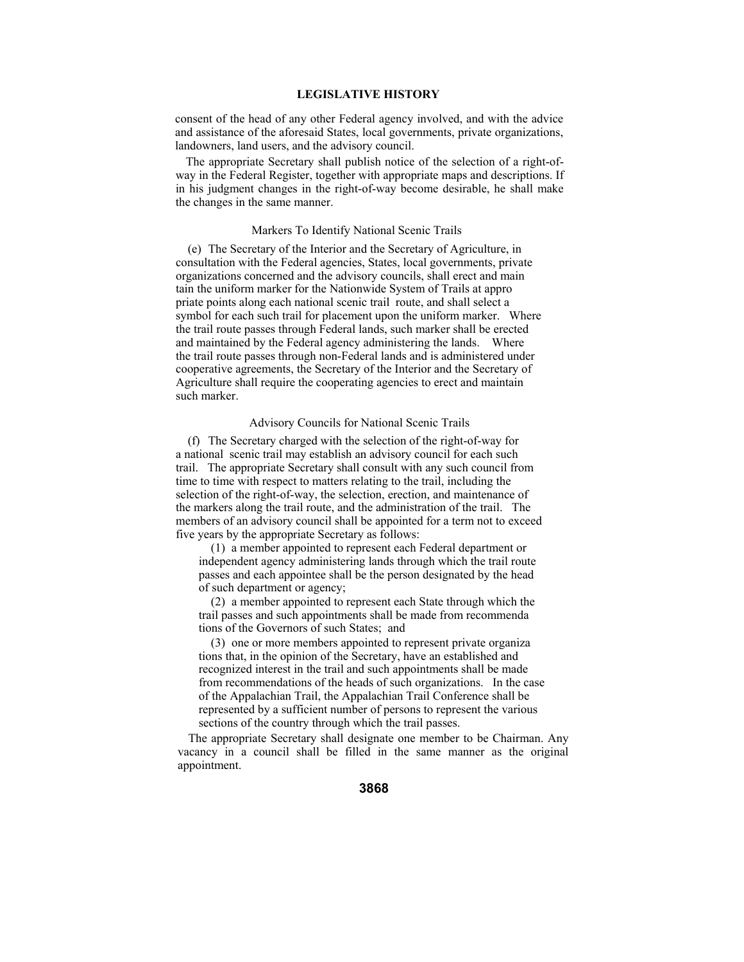consent of the head of any other Federal agency involved, and with the advice and assistance of the aforesaid States, local governments, private organizations, landowners, land users, and the advisory council.

The appropriate Secretary shall publish notice of the selection of a right-ofway in the Federal Register, together with appropriate maps and descriptions. If in his judgment changes in the right-of-way become desirable, he shall make the changes in the same manner.

#### Markers To Identify National Scenic Trails

(e) The Secretary of the Interior and the Secretary of Agriculture, in consultation with the Federal agencies, States, local governments, private organizations concerned and the advisory councils, shall erect and main tain the uniform marker for the Nationwide System of Trails at appro priate points along each national scenic trail route, and shall select a symbol for each such trail for placement upon the uniform marker. Where the trail route passes through Federal lands, such marker shall be erected and maintained by the Federal agency administering the lands. Where the trail route passes through non-Federal lands and is administered under cooperative agreements, the Secretary of the Interior and the Secretary of Agriculture shall require the cooperating agencies to erect and maintain such marker.

### Advisory Councils for National Scenic Trails

(f) The Secretary charged with the selection of the right-of-way for a national scenic trail may establish an advisory council for each such trail. The appropriate Secretary shall consult with any such council from time to time with respect to matters relating to the trail, including the selection of the right-of-way, the selection, erection, and maintenance of the markers along the trail route, and the administration of the trail. The members of an advisory council shall be appointed for a term not to exceed five years by the appropriate Secretary as follows:

(1) a member appointed to represent each Federal department or independent agency administering lands through which the trail route passes and each appointee shall be the person designated by the head of such department or agency;

(2) a member appointed to represent each State through which the trail passes and such appointments shall be made from recommenda tions of the Governors of such States; and

(3) one or more members appointed to represent private organiza tions that, in the opinion of the Secretary, have an established and recognized interest in the trail and such appointments shall be made from recommendations of the heads of such organizations. In the case of the Appalachian Trail, the Appalachian Trail Conference shall be represented by a sufficient number of persons to represent the various sections of the country through which the trail passes.

The appropriate Secretary shall designate one member to be Chairman. Any vacancy in a council shall be filled in the same manner as the original appointment.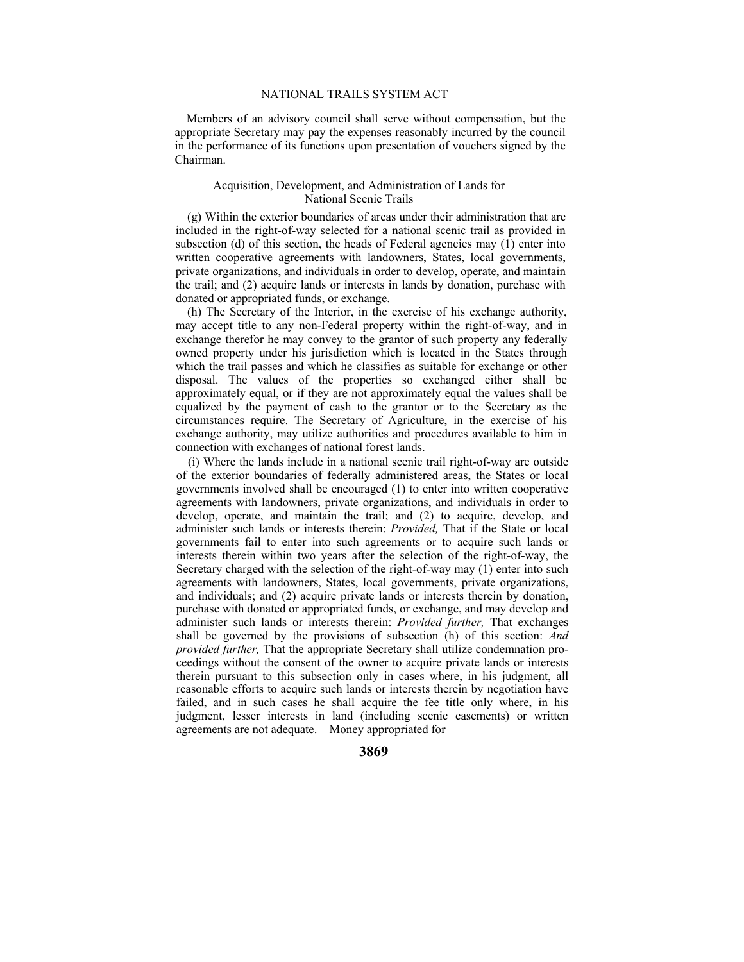Members of an advisory council shall serve without compensation, but the appropriate Secretary may pay the expenses reasonably incurred by the council in the performance of its functions upon presentation of vouchers signed by the Chairman.

### Acquisition, Development, and Administration of Lands for National Scenic Trails

(g) Within the exterior boundaries of areas under their administration that are included in the right-of-way selected for a national scenic trail as provided in subsection (d) of this section, the heads of Federal agencies may (1) enter into written cooperative agreements with landowners, States, local governments, private organizations, and individuals in order to develop, operate, and maintain the trail; and (2) acquire lands or interests in lands by donation, purchase with donated or appropriated funds, or exchange.

(h) The Secretary of the Interior, in the exercise of his exchange authority, may accept title to any non-Federal property within the right-of-way, and in exchange therefor he may convey to the grantor of such property any federally owned property under his jurisdiction which is located in the States through which the trail passes and which he classifies as suitable for exchange or other disposal. The values of the properties so exchanged either shall be approximately equal, or if they are not approximately equal the values shall be equalized by the payment of cash to the grantor or to the Secretary as the circumstances require. The Secretary of Agriculture, in the exercise of his exchange authority, may utilize authorities and procedures available to him in connection with exchanges of national forest lands.

(i) Where the lands include in a national scenic trail right-of-way are outside of the exterior boundaries of federally administered areas, the States or local governments involved shall be encouraged (1) to enter into written cooperative agreements with landowners, private organizations, and individuals in order to develop, operate, and maintain the trail; and (2) to acquire, develop, and administer such lands or interests therein: *Provided,* That if the State or local governments fail to enter into such agreements or to acquire such lands or interests therein within two years after the selection of the right-of-way, the Secretary charged with the selection of the right-of-way may (1) enter into such agreements with landowners, States, local governments, private organizations, and individuals; and (2) acquire private lands or interests therein by donation, purchase with donated or appropriated funds, or exchange, and may develop and administer such lands or interests therein: *Provided further,* That exchanges shall be governed by the provisions of subsection (h) of this section: *And provided further,* That the appropriate Secretary shall utilize condemnation proceedings without the consent of the owner to acquire private lands or interests therein pursuant to this subsection only in cases where, in his judgment, all reasonable efforts to acquire such lands or interests therein by negotiation have failed, and in such cases he shall acquire the fee title only where, in his judgment, lesser interests in land (including scenic easements) or written agreements are not adequate. Money appropriated for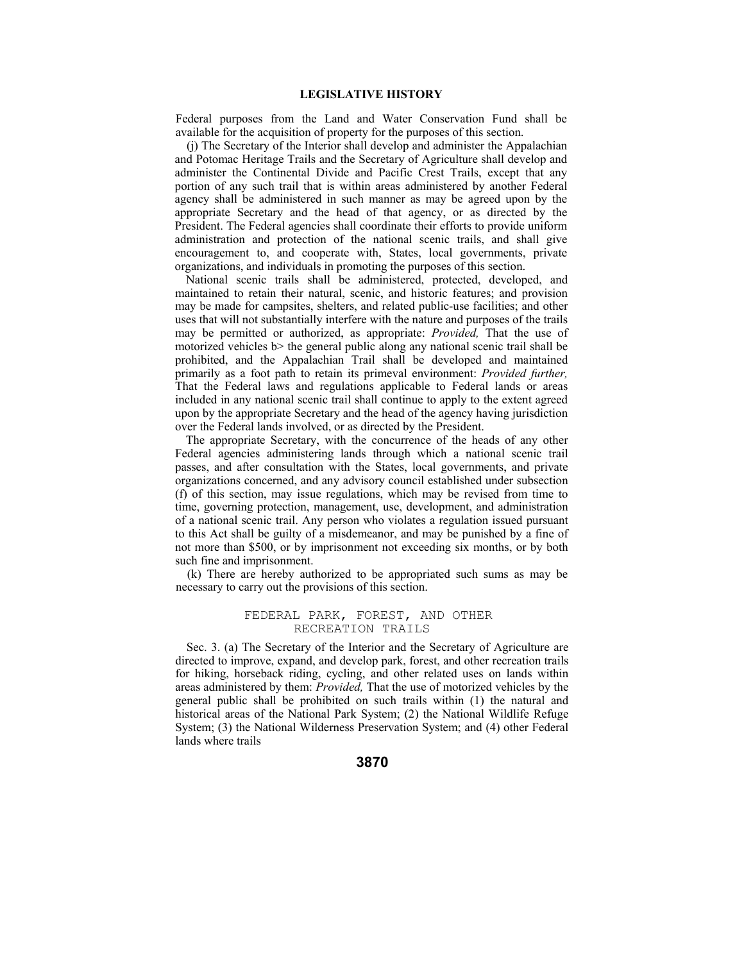Federal purposes from the Land and Water Conservation Fund shall be available for the acquisition of property for the purposes of this section.

(j) The Secretary of the Interior shall develop and administer the Appalachian and Potomac Heritage Trails and the Secretary of Agriculture shall develop and administer the Continental Divide and Pacific Crest Trails, except that any portion of any such trail that is within areas administered by another Federal agency shall be administered in such manner as may be agreed upon by the appropriate Secretary and the head of that agency, or as directed by the President. The Federal agencies shall coordinate their efforts to provide uniform administration and protection of the national scenic trails, and shall give encouragement to, and cooperate with, States, local governments, private organizations, and individuals in promoting the purposes of this section.

National scenic trails shall be administered, protected, developed, and maintained to retain their natural, scenic, and historic features; and provision may be made for campsites, shelters, and related public-use facilities; and other uses that will not substantially interfere with the nature and purposes of the trails may be permitted or authorized, as appropriate: *Provided,* That the use of motorized vehicles  $b$  the general public along any national scenic trail shall be prohibited, and the Appalachian Trail shall be developed and maintained primarily as a foot path to retain its primeval environment: *Provided further,*  That the Federal laws and regulations applicable to Federal lands or areas included in any national scenic trail shall continue to apply to the extent agreed upon by the appropriate Secretary and the head of the agency having jurisdiction over the Federal lands involved, or as directed by the President.

The appropriate Secretary, with the concurrence of the heads of any other Federal agencies administering lands through which a national scenic trail passes, and after consultation with the States, local governments, and private organizations concerned, and any advisory council established under subsection (f) of this section, may issue regulations, which may be revised from time to time, governing protection, management, use, development, and administration of a national scenic trail. Any person who violates a regulation issued pursuant to this Act shall be guilty of a misdemeanor, and may be punished by a fine of not more than \$500, or by imprisonment not exceeding six months, or by both such fine and imprisonment.

(k) There are hereby authorized to be appropriated such sums as may be necessary to carry out the provisions of this section.

### FEDERAL PARK, FOREST, AND OTHER RECREATION TRAILS

Sec. 3. (a) The Secretary of the Interior and the Secretary of Agriculture are directed to improve, expand, and develop park, forest, and other recreation trails for hiking, horseback riding, cycling, and other related uses on lands within areas administered by them: *Provided,* That the use of motorized vehicles by the general public shall be prohibited on such trails within (1) the natural and historical areas of the National Park System; (2) the National Wildlife Refuge System; (3) the National Wilderness Preservation System; and (4) other Federal lands where trails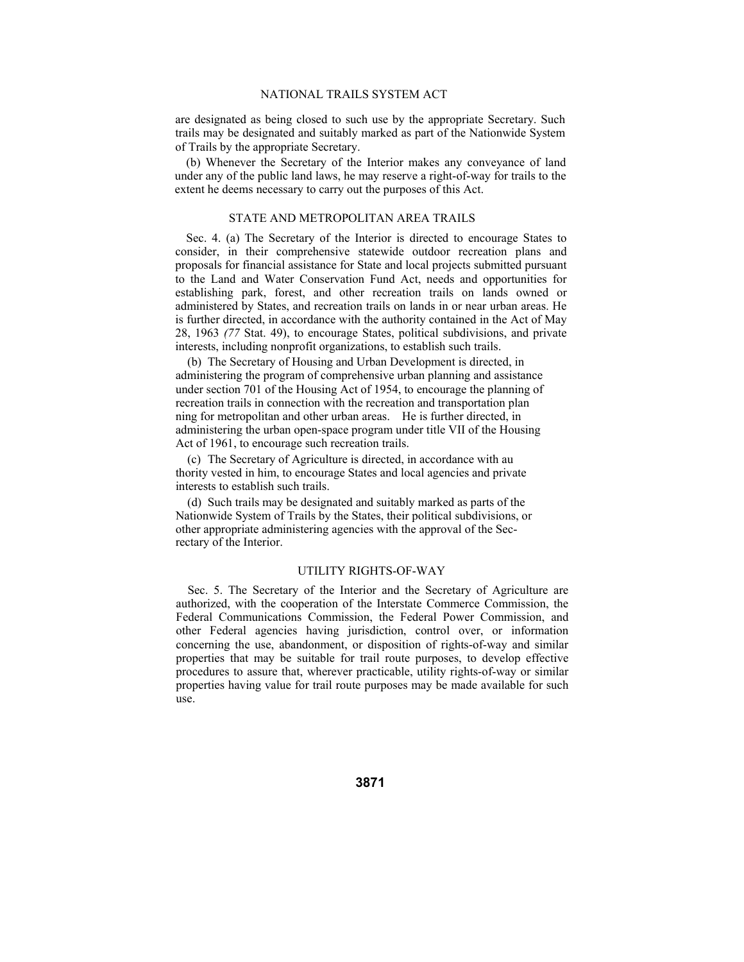are designated as being closed to such use by the appropriate Secretary. Such trails may be designated and suitably marked as part of the Nationwide System of Trails by the appropriate Secretary.

(b) Whenever the Secretary of the Interior makes any conveyance of land under any of the public land laws, he may reserve a right-of-way for trails to the extent he deems necessary to carry out the purposes of this Act.

### STATE AND METROPOLITAN AREA TRAILS

Sec. 4. (a) The Secretary of the Interior is directed to encourage States to consider, in their comprehensive statewide outdoor recreation plans and proposals for financial assistance for State and local projects submitted pursuant to the Land and Water Conservation Fund Act, needs and opportunities for establishing park, forest, and other recreation trails on lands owned or administered by States, and recreation trails on lands in or near urban areas. He is further directed, in accordance with the authority contained in the Act of May 28, 1963 *(77* Stat. 49), to encourage States, political subdivisions, and private interests, including nonprofit organizations, to establish such trails.

(b) The Secretary of Housing and Urban Development is directed, in administering the program of comprehensive urban planning and assistance under section 701 of the Housing Act of 1954, to encourage the planning of recreation trails in connection with the recreation and transportation plan ning for metropolitan and other urban areas. He is further directed, in administering the urban open-space program under title VII of the Housing Act of 1961, to encourage such recreation trails.

(c) The Secretary of Agriculture is directed, in accordance with au thority vested in him, to encourage States and local agencies and private interests to establish such trails.

(d) Such trails may be designated and suitably marked as parts of the Nationwide System of Trails by the States, their political subdivisions, or other appropriate administering agencies with the approval of the Secrectary of the Interior.

#### UTILITY RIGHTS-OF-WAY

Sec. 5. The Secretary of the Interior and the Secretary of Agriculture are authorized, with the cooperation of the Interstate Commerce Commission, the Federal Communications Commission, the Federal Power Commission, and other Federal agencies having jurisdiction, control over, or information concerning the use, abandonment, or disposition of rights-of-way and similar properties that may be suitable for trail route purposes, to develop effective procedures to assure that, wherever practicable, utility rights-of-way or similar properties having value for trail route purposes may be made available for such use.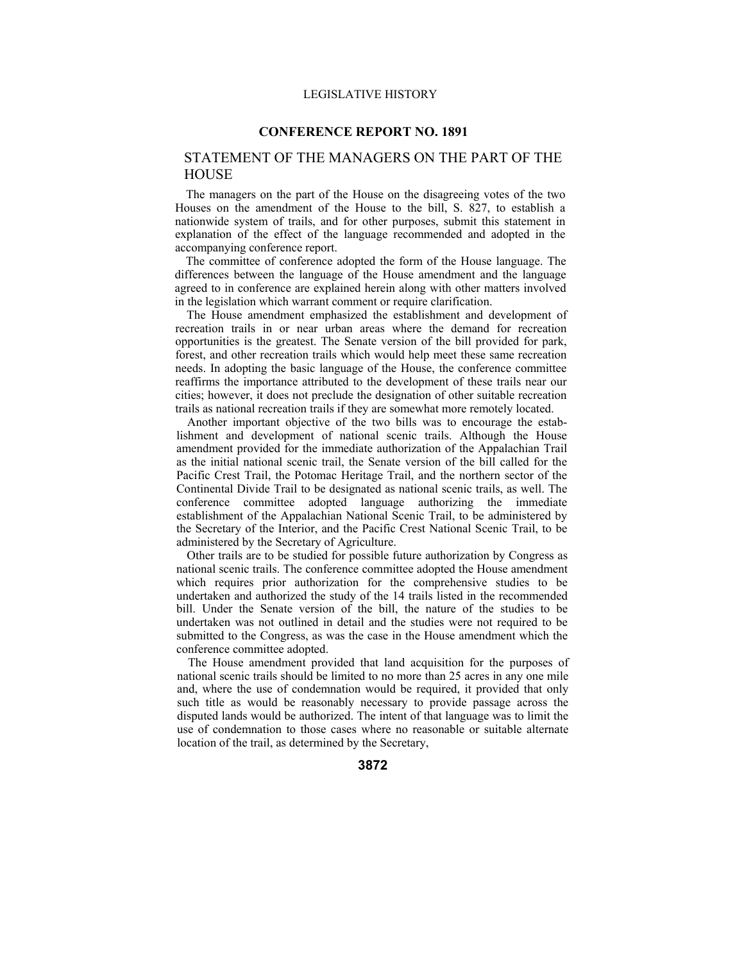### **CONFERENCE REPORT NO. 1891**

# STATEMENT OF THE MANAGERS ON THE PART OF THE **HOUSE**

The managers on the part of the House on the disagreeing votes of the two Houses on the amendment of the House to the bill, S. 827, to establish a nationwide system of trails, and for other purposes, submit this statement in explanation of the effect of the language recommended and adopted in the accompanying conference report.

The committee of conference adopted the form of the House language. The differences between the language of the House amendment and the language agreed to in conference are explained herein along with other matters involved in the legislation which warrant comment or require clarification.

The House amendment emphasized the establishment and development of recreation trails in or near urban areas where the demand for recreation opportunities is the greatest. The Senate version of the bill provided for park, forest, and other recreation trails which would help meet these same recreation needs. In adopting the basic language of the House, the conference committee reaffirms the importance attributed to the development of these trails near our cities; however, it does not preclude the designation of other suitable recreation trails as national recreation trails if they are somewhat more remotely located.

Another important objective of the two bills was to encourage the establishment and development of national scenic trails. Although the House amendment provided for the immediate authorization of the Appalachian Trail as the initial national scenic trail, the Senate version of the bill called for the Pacific Crest Trail, the Potomac Heritage Trail, and the northern sector of the Continental Divide Trail to be designated as national scenic trails, as well. The conference committee adopted language authorizing the immediate establishment of the Appalachian National Scenic Trail, to be administered by the Secretary of the Interior, and the Pacific Crest National Scenic Trail, to be administered by the Secretary of Agriculture.

Other trails are to be studied for possible future authorization by Congress as national scenic trails. The conference committee adopted the House amendment which requires prior authorization for the comprehensive studies to be undertaken and authorized the study of the 14 trails listed in the recommended bill. Under the Senate version of the bill, the nature of the studies to be undertaken was not outlined in detail and the studies were not required to be submitted to the Congress, as was the case in the House amendment which the conference committee adopted.

The House amendment provided that land acquisition for the purposes of national scenic trails should be limited to no more than 25 acres in any one mile and, where the use of condemnation would be required, it provided that only such title as would be reasonably necessary to provide passage across the disputed lands would be authorized. The intent of that language was to limit the use of condemnation to those cases where no reasonable or suitable alternate location of the trail, as determined by the Secretary,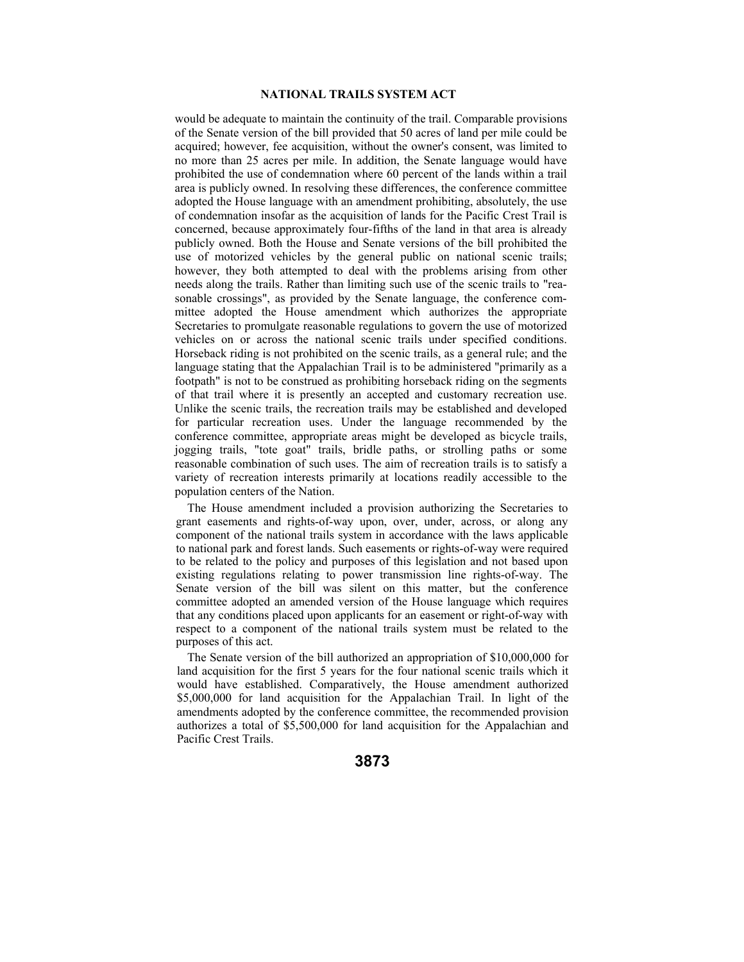would be adequate to maintain the continuity of the trail. Comparable provisions of the Senate version of the bill provided that 50 acres of land per mile could be acquired; however, fee acquisition, without the owner's consent, was limited to no more than 25 acres per mile. In addition, the Senate language would have prohibited the use of condemnation where 60 percent of the lands within a trail area is publicly owned. In resolving these differences, the conference committee adopted the House language with an amendment prohibiting, absolutely, the use of condemnation insofar as the acquisition of lands for the Pacific Crest Trail is concerned, because approximately four-fifths of the land in that area is already publicly owned. Both the House and Senate versions of the bill prohibited the use of motorized vehicles by the general public on national scenic trails; however, they both attempted to deal with the problems arising from other needs along the trails. Rather than limiting such use of the scenic trails to "reasonable crossings", as provided by the Senate language, the conference committee adopted the House amendment which authorizes the appropriate Secretaries to promulgate reasonable regulations to govern the use of motorized vehicles on or across the national scenic trails under specified conditions. Horseback riding is not prohibited on the scenic trails, as a general rule; and the language stating that the Appalachian Trail is to be administered "primarily as a footpath" is not to be construed as prohibiting horseback riding on the segments of that trail where it is presently an accepted and customary recreation use. Unlike the scenic trails, the recreation trails may be established and developed for particular recreation uses. Under the language recommended by the conference committee, appropriate areas might be developed as bicycle trails, jogging trails, "tote goat" trails, bridle paths, or strolling paths or some reasonable combination of such uses. The aim of recreation trails is to satisfy a variety of recreation interests primarily at locations readily accessible to the population centers of the Nation.

The House amendment included a provision authorizing the Secretaries to grant easements and rights-of-way upon, over, under, across, or along any component of the national trails system in accordance with the laws applicable to national park and forest lands. Such easements or rights-of-way were required to be related to the policy and purposes of this legislation and not based upon existing regulations relating to power transmission line rights-of-way. The Senate version of the bill was silent on this matter, but the conference committee adopted an amended version of the House language which requires that any conditions placed upon applicants for an easement or right-of-way with respect to a component of the national trails system must be related to the purposes of this act.

The Senate version of the bill authorized an appropriation of \$10,000,000 for land acquisition for the first 5 years for the four national scenic trails which it would have established. Comparatively, the House amendment authorized \$5,000,000 for land acquisition for the Appalachian Trail. In light of the amendments adopted by the conference committee, the recommended provision authorizes a total of \$5,500,000 for land acquisition for the Appalachian and Pacific Crest Trails.